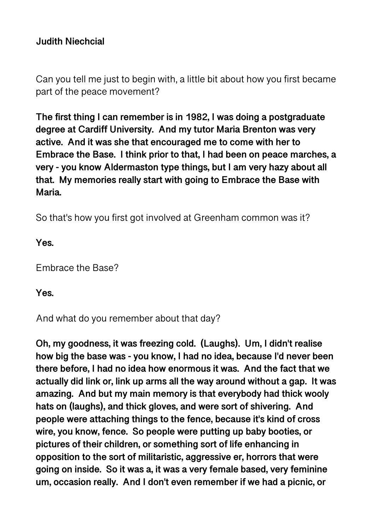# **Judith Niechcial**

Can you tell me just to begin with, a little bit about how you first became part of the peace movement?

**The first thing I can remember is in 1982, I was doing a postgraduate degree at Cardiff University. And my tutor Maria Brenton was very active. And it was she that encouraged me to come with her to Embrace the Base. I think prior to that, I had been on peace marches, a very - you know Aldermaston type things, but I am very hazy about all that. My memories really start with going to Embrace the Base with Maria.** 

So that's how you first got involved at Greenham common was it?

**Yes.** 

Embrace the Base?

**Yes.** 

And what do you remember about that day?

**Oh, my goodness, it was freezing cold. (Laughs). Um, I didn't realise how big the base was - you know, I had no idea, because I'd never been there before, I had no idea how enormous it was. And the fact that we actually did link or, link up arms all the way around without a gap. It was amazing. And but my main memory is that everybody had thick wooly hats on (laughs), and thick gloves, and were sort of shivering. And people were attaching things to the fence, because it's kind of cross wire, you know, fence. So people were putting up baby booties, or pictures of their children, or something sort of life enhancing in opposition to the sort of militaristic, aggressive er, horrors that were going on inside. So it was a, it was a very female based, very feminine um, occasion really. And I don't even remember if we had a picnic, or**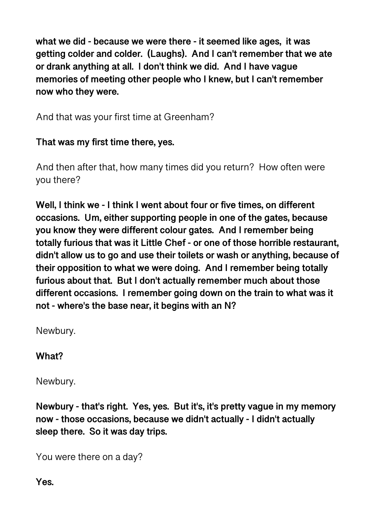**what we did - because we were there - it seemed like ages, it was getting colder and colder. (Laughs). And I can't remember that we ate or drank anything at all. I don't think we did. And I have vague memories of meeting other people who I knew, but I can't remember now who they were.** 

And that was your first time at Greenham?

# **That was my first time there, yes.**

And then after that, how many times did you return? How often were you there?

**Well, I think we - I think I went about four or five times, on different occasions. Um, either supporting people in one of the gates, because you know they were different colour gates. And I remember being totally furious that was it Little Chef - or one of those horrible restaurant, didn't allow us to go and use their toilets or wash or anything, because of their opposition to what we were doing. And I remember being totally furious about that. But I don't actually remember much about those different occasions. I remember going down on the train to what was it not - where's the base near, it begins with an N?** 

Newbury.

# **What?**

Newbury.

**Newbury - that's right. Yes, yes. But it's, it's pretty vague in my memory now - those occasions, because we didn't actually - I didn't actually sleep there. So it was day trips.** 

You were there on a day?

**Yes.**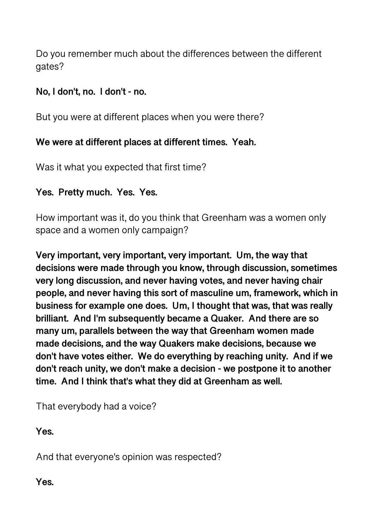Do you remember much about the differences between the different gates?

# **No, I don't, no. I don't - no.**

But you were at different places when you were there?

# **We were at different places at different times. Yeah.**

Was it what you expected that first time?

# **Yes. Pretty much. Yes. Yes.**

How important was it, do you think that Greenham was a women only space and a women only campaign?

**Very important, very important, very important. Um, the way that decisions were made through you know, through discussion, sometimes very long discussion, and never having votes, and never having chair people, and never having this sort of masculine um, framework, which in business for example one does. Um, I thought that was, that was really brilliant. And I'm subsequently became a Quaker. And there are so many um, parallels between the way that Greenham women made made decisions, and the way Quakers make decisions, because we don't have votes either. We do everything by reaching unity. And if we don't reach unity, we don't make a decision - we postpone it to another time. And I think that's what they did at Greenham as well.** 

That everybody had a voice?

**Yes.** 

And that everyone's opinion was respected?

**Yes.**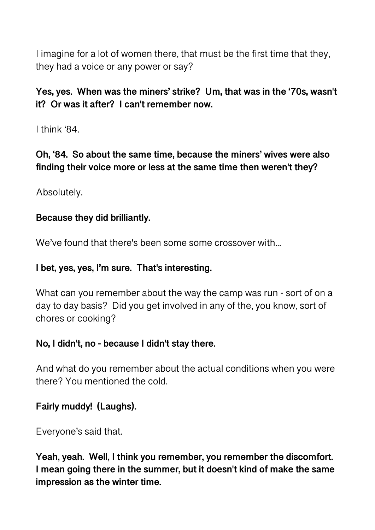I imagine for a lot of women there, that must be the first time that they, they had a voice or any power or say?

# **Yes, yes. When was the miners' strike? Um, that was in the '70s, wasn't it? Or was it after? I can't remember now.**

I think '84.

**Oh, '84. So about the same time, because the miners' wives were also finding their voice more or less at the same time then weren't they?** 

Absolutely.

#### **Because they did brilliantly.**

We've found that there's been some some crossover with...

#### **I bet, yes, yes, I'm sure. That's interesting.**

What can you remember about the way the camp was run - sort of on a day to day basis? Did you get involved in any of the, you know, sort of chores or cooking?

#### **No, I didn't, no - because I didn't stay there.**

And what do you remember about the actual conditions when you were there? You mentioned the cold.

# **Fairly muddy! (Laughs).**

Everyone's said that.

**Yeah, yeah. Well, I think you remember, you remember the discomfort. I mean going there in the summer, but it doesn't kind of make the same impression as the winter time.**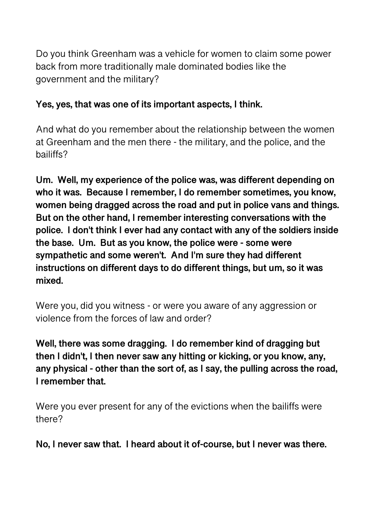Do you think Greenham was a vehicle for women to claim some power back from more traditionally male dominated bodies like the government and the military?

# **Yes, yes, that was one of its important aspects, I think.**

And what do you remember about the relationship between the women at Greenham and the men there - the military, and the police, and the bailiffs?

**Um. Well, my experience of the police was, was different depending on who it was. Because I remember, I do remember sometimes, you know, women being dragged across the road and put in police vans and things. But on the other hand, I remember interesting conversations with the police. I don't think I ever had any contact with any of the soldiers inside the base. Um. But as you know, the police were - some were sympathetic and some weren't. And I'm sure they had different instructions on different days to do different things, but um, so it was mixed.** 

Were you, did you witness - or were you aware of any aggression or violence from the forces of law and order?

**Well, there was some dragging. I do remember kind of dragging but then I didn't, I then never saw any hitting or kicking, or you know, any, any physical - other than the sort of, as I say, the pulling across the road, I remember that.** 

Were you ever present for any of the evictions when the bailiffs were there?

**No, I never saw that. I heard about it of-course, but I never was there.**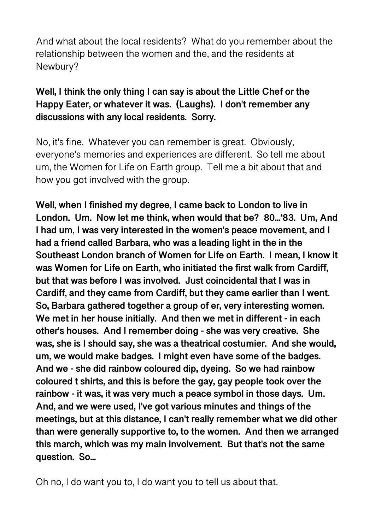And what about the local residents? What do you remember about the relationship between the women and the, and the residents at Newbury?

# **Well, I think the only thing I can say is about the Little Chef or the Happy Eater, or whatever it was. (Laughs). I don't remember any discussions with any local residents. Sorry.**

No, it's fine. Whatever you can remember is great. Obviously, everyone's memories and experiences are different. So tell me about um, the Women for Life on Earth group. Tell me a bit about that and how you got involved with the group.

**Well, when I finished my degree, I came back to London to live in London. Um. Now let me think, when would that be? 80...'83. Um, And I had um, I was very interested in the women's peace movement, and I had a friend called Barbara, who was a leading light in the in the Southeast London branch of Women for Life on Earth. I mean, I know it was Women for Life on Earth, who initiated the first walk from Cardiff, but that was before I was involved. Just coincidental that I was in Cardiff, and they came from Cardiff, but they came earlier than I went. So, Barbara gathered together a group of er, very interesting women. We met in her house initially. And then we met in different - in each other's houses. And I remember doing - she was very creative. She was, she is I should say, she was a theatrical costumier. And she would, um, we would make badges. I might even have some of the badges. And we - she did rainbow coloured dip, dyeing. So we had rainbow coloured t shirts, and this is before the gay, gay people took over the rainbow - it was, it was very much a peace symbol in those days. Um. And, and we were used, I've got various minutes and things of the meetings, but at this distance, I can't really remember what we did other than were generally supportive to, to the women. And then we arranged this march, which was my main involvement. But that's not the same question. So...** 

Oh no, I do want you to, I do want you to tell us about that.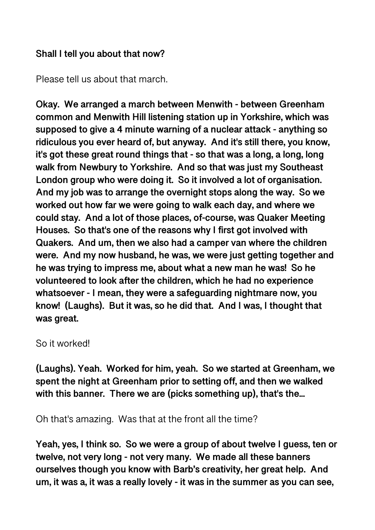#### **Shall I tell you about that now?**

Please tell us about that march.

**Okay. We arranged a march between Menwith - between Greenham common and Menwith Hill listening station up in Yorkshire, which was supposed to give a 4 minute warning of a nuclear attack - anything so ridiculous you ever heard of, but anyway. And it's still there, you know, it's got these great round things that - so that was a long, a long, long walk from Newbury to Yorkshire. And so that was just my Southeast London group who were doing it. So it involved a lot of organisation. And my job was to arrange the overnight stops along the way. So we worked out how far we were going to walk each day, and where we could stay. And a lot of those places, of-course, was Quaker Meeting Houses. So that's one of the reasons why I first got involved with Quakers. And um, then we also had a camper van where the children were. And my now husband, he was, we were just getting together and he was trying to impress me, about what a new man he was! So he volunteered to look after the children, which he had no experience whatsoever - I mean, they were a safeguarding nightmare now, you know! (Laughs). But it was, so he did that. And I was, I thought that was great.** 

#### So it worked!

**(Laughs). Yeah. Worked for him, yeah. So we started at Greenham, we spent the night at Greenham prior to setting off, and then we walked with this banner. There we are (picks something up), that's the...** 

Oh that's amazing. Was that at the front all the time?

**Yeah, yes, I think so. So we were a group of about twelve I guess, ten or twelve, not very long - not very many. We made all these banners ourselves though you know with Barb's creativity, her great help. And um, it was a, it was a really lovely - it was in the summer as you can see,**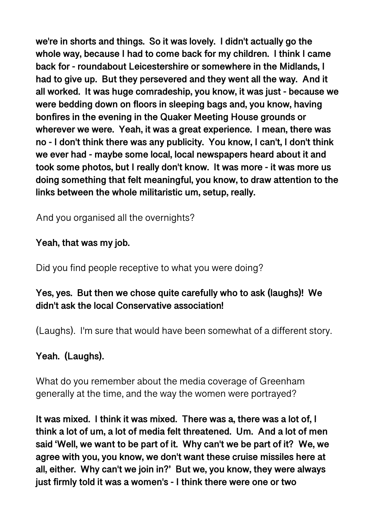**we're in shorts and things. So it was lovely. I didn't actually go the whole way, because I had to come back for my children. I think I came back for - roundabout Leicestershire or somewhere in the Midlands, I had to give up. But they persevered and they went all the way. And it all worked. It was huge comradeship, you know, it was just - because we were bedding down on floors in sleeping bags and, you know, having bonfires in the evening in the Quaker Meeting House grounds or wherever we were. Yeah, it was a great experience. I mean, there was no - I don't think there was any publicity. You know, I can't, I don't think we ever had - maybe some local, local newspapers heard about it and took some photos, but I really don't know. It was more - it was more us doing something that felt meaningful, you know, to draw attention to the links between the whole militaristic um, setup, really.** 

And you organised all the overnights?

# **Yeah, that was my job.**

Did you find people receptive to what you were doing?

# **Yes, yes. But then we chose quite carefully who to ask (laughs)! We didn't ask the local Conservative association!**

(Laughs). I'm sure that would have been somewhat of a different story.

# **Yeah. (Laughs).**

What do you remember about the media coverage of Greenham generally at the time, and the way the women were portrayed?

**It was mixed. I think it was mixed. There was a, there was a lot of, I think a lot of um, a lot of media felt threatened. Um. And a lot of men said 'Well, we want to be part of it. Why can't we be part of it? We, we agree with you, you know, we don't want these cruise missiles here at all, either. Why can't we join in?' But we, you know, they were always just firmly told it was a women's - I think there were one or two**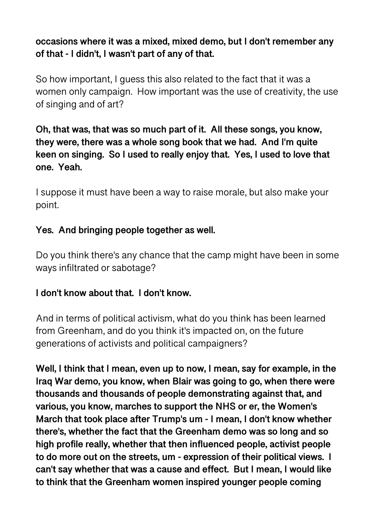# **occasions where it was a mixed, mixed demo, but I don't remember any of that - I didn't, I wasn't part of any of that.**

So how important, I guess this also related to the fact that it was a women only campaign. How important was the use of creativity, the use of singing and of art?

# **Oh, that was, that was so much part of it. All these songs, you know, they were, there was a whole song book that we had. And I'm quite keen on singing. So I used to really enjoy that. Yes, I used to love that one. Yeah.**

I suppose it must have been a way to raise morale, but also make your point.

# **Yes. And bringing people together as well.**

Do you think there's any chance that the camp might have been in some ways infiltrated or sabotage?

# **I don't know about that. I don't know.**

And in terms of political activism, what do you think has been learned from Greenham, and do you think it's impacted on, on the future generations of activists and political campaigners?

**Well, I think that I mean, even up to now, I mean, say for example, in the Iraq War demo, you know, when Blair was going to go, when there were thousands and thousands of people demonstrating against that, and various, you know, marches to support the NHS or er, the Women's March that took place after Trump's um - I mean, I don't know whether there's, whether the fact that the Greenham demo was so long and so high profile really, whether that then influenced people, activist people to do more out on the streets, um - expression of their political views. I can't say whether that was a cause and effect. But I mean, I would like to think that the Greenham women inspired younger people coming**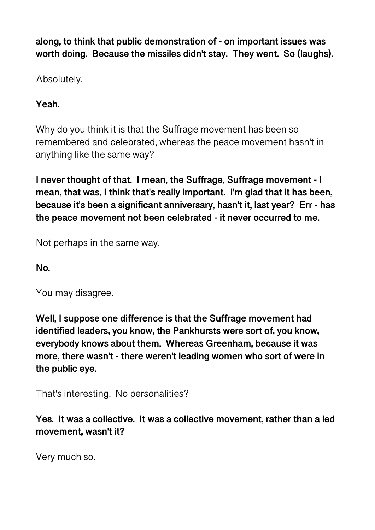**along, to think that public demonstration of - on important issues was worth doing. Because the missiles didn't stay. They went. So (laughs).** 

Absolutely.

**Yeah.** 

Why do you think it is that the Suffrage movement has been so remembered and celebrated, whereas the peace movement hasn't in anything like the same way?

**I never thought of that. I mean, the Suffrage, Suffrage movement - I mean, that was, I think that's really important. I'm glad that it has been, because it's been a significant anniversary, hasn't it, last year? Err - has the peace movement not been celebrated - it never occurred to me.** 

Not perhaps in the same way.

**No.** 

You may disagree.

**Well, I suppose one difference is that the Suffrage movement had identified leaders, you know, the Pankhursts were sort of, you know, everybody knows about them. Whereas Greenham, because it was more, there wasn't - there weren't leading women who sort of were in the public eye.** 

That's interesting. No personalities?

**Yes. It was a collective. It was a collective movement, rather than a led movement, wasn't it?** 

Very much so.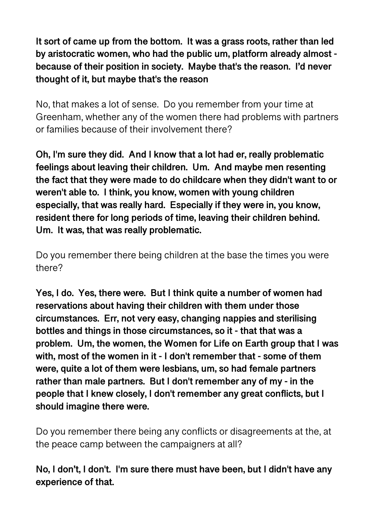**It sort of came up from the bottom. It was a grass roots, rather than led by aristocratic women, who had the public um, platform already almost because of their position in society. Maybe that's the reason. I'd never thought of it, but maybe that's the reason** 

No, that makes a lot of sense. Do you remember from your time at Greenham, whether any of the women there had problems with partners or families because of their involvement there?

**Oh, I'm sure they did. And I know that a lot had er, really problematic feelings about leaving their children. Um. And maybe men resenting the fact that they were made to do childcare when they didn't want to or weren't able to. I think, you know, women with young children especially, that was really hard. Especially if they were in, you know, resident there for long periods of time, leaving their children behind. Um. It was, that was really problematic.** 

Do you remember there being children at the base the times you were there?

**Yes, I do. Yes, there were. But I think quite a number of women had reservations about having their children with them under those circumstances. Err, not very easy, changing nappies and sterilising bottles and things in those circumstances, so it - that that was a problem. Um, the women, the Women for Life on Earth group that I was with, most of the women in it - I don't remember that - some of them were, quite a lot of them were lesbians, um, so had female partners rather than male partners. But I don't remember any of my - in the people that I knew closely, I don't remember any great conflicts, but I should imagine there were.** 

Do you remember there being any conflicts or disagreements at the, at the peace camp between the campaigners at all?

**No, I don't, I don't. I'm sure there must have been, but I didn't have any experience of that.**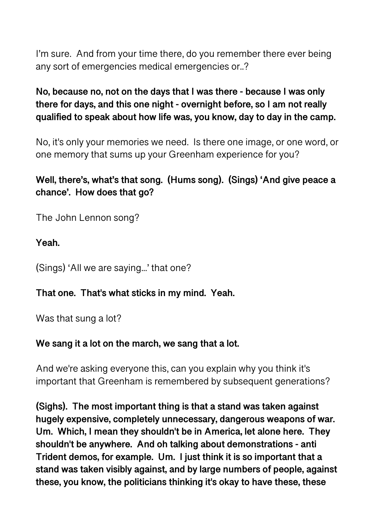I'm sure. And from your time there, do you remember there ever being any sort of emergencies medical emergencies or..?

# **No, because no, not on the days that I was there - because I was only there for days, and this one night - overnight before, so I am not really qualified to speak about how life was, you know, day to day in the camp.**

No, it's only your memories we need. Is there one image, or one word, or one memory that sums up your Greenham experience for you?

# **Well, there's, what's that song. (Hums song). (Sings) 'And give peace a chance'. How does that go?**

The John Lennon song?

**Yeah.** 

(Sings) 'All we are saying...' that one?

#### **That one. That's what sticks in my mind. Yeah.**

Was that sung a lot?

# **We sang it a lot on the march, we sang that a lot.**

And we're asking everyone this, can you explain why you think it's important that Greenham is remembered by subsequent generations?

**(Sighs). The most important thing is that a stand was taken against hugely expensive, completely unnecessary, dangerous weapons of war. Um. Which, I mean they shouldn't be in America, let alone here. They shouldn't be anywhere. And oh talking about demonstrations - anti Trident demos, for example. Um. I just think it is so important that a stand was taken visibly against, and by large numbers of people, against these, you know, the politicians thinking it's okay to have these, these**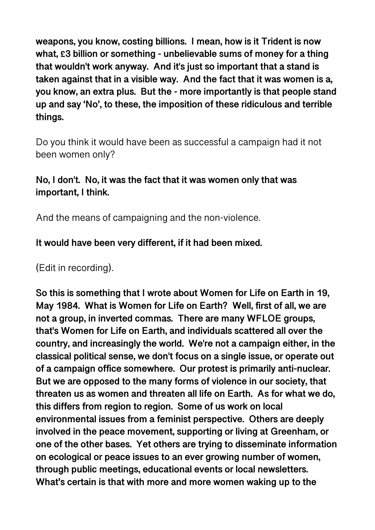**weapons, you know, costing billions. I mean, how is it Trident is now what, £3 billion or something - unbelievable sums of money for a thing that wouldn't work anyway. And it's just so important that a stand is taken against that in a visible way. And the fact that it was women is a, you know, an extra plus. But the - more importantly is that people stand up and say 'No', to these, the imposition of these ridiculous and terrible things.** 

Do you think it would have been as successful a campaign had it not been women only?

# **No, I don't. No, it was the fact that it was women only that was important, I think.**

And the means of campaigning and the non-violence.

**It would have been very different, if it had been mixed.** 

(Edit in recording).

**So this is something that I wrote about Women for Life on Earth in 19, May 1984. What is Women for Life on Earth? Well, first of all, we are not a group, in inverted commas. There are many WFLOE groups, that's Women for Life on Earth, and individuals scattered all over the country, and increasingly the world. We're not a campaign either, in the classical political sense, we don't focus on a single issue, or operate out of a campaign office somewhere. Our protest is primarily anti-nuclear. But we are opposed to the many forms of violence in our society, that threaten us as women and threaten all life on Earth. As for what we do, this differs from region to region. Some of us work on local environmental issues from a feminist perspective. Others are deeply involved in the peace movement, supporting or living at Greenham, or one of the other bases. Yet others are trying to disseminate information on ecological or peace issues to an ever growing number of women, through public meetings, educational events or local newsletters. What's certain is that with more and more women waking up to the**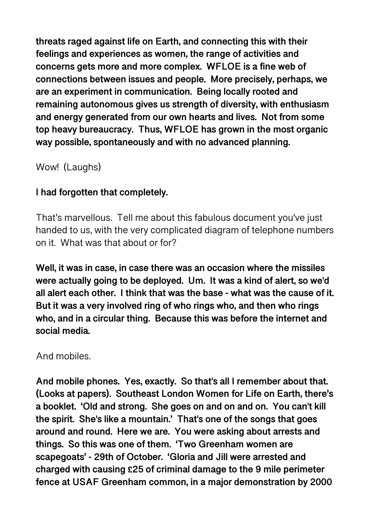**threats raged against life on Earth, and connecting this with their feelings and experiences as women, the range of activities and concerns gets more and more complex. WFLOE is a fine web of connections between issues and people. More precisely, perhaps, we are an experiment in communication. Being locally rooted and remaining autonomous gives us strength of diversity, with enthusiasm and energy generated from our own hearts and lives. Not from some top heavy bureaucracy. Thus, WFLOE has grown in the most organic way possible, spontaneously and with no advanced planning.** 

Wow! (Laughs)

# **I had forgotten that completely.**

That's marvellous. Tell me about this fabulous document you've just handed to us, with the very complicated diagram of telephone numbers on it. What was that about or for?

**Well, it was in case, in case there was an occasion where the missiles were actually going to be deployed. Um. It was a kind of alert, so we'd all alert each other. I think that was the base - what was the cause of it. But it was a very involved ring of who rings who, and then who rings who, and in a circular thing. Because this was before the internet and social media.** 

And mobiles.

**And mobile phones. Yes, exactly. So that's all I remember about that. (Looks at papers). Southeast London Women for Life on Earth, there's a booklet. 'Old and strong. She goes on and on and on. You can't kill the spirit. She's like a mountain.' That's one of the songs that goes around and round. Here we are. You were asking about arrests and things. So this was one of them. 'Two Greenham women are scapegoats' - 29th of October. 'Gloria and Jill were arrested and charged with causing £25 of criminal damage to the 9 mile perimeter fence at USAF Greenham common, in a major demonstration by 2000**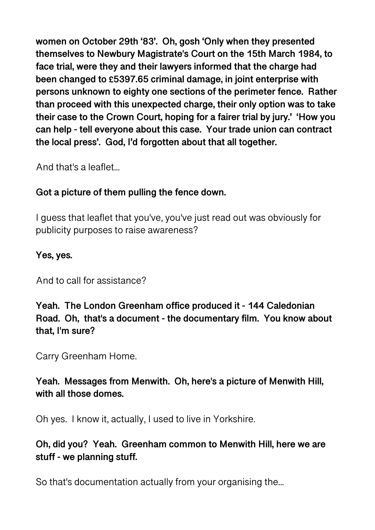**women on October 29th '83'. Oh, gosh 'Only when they presented themselves to Newbury Magistrate's Court on the 15th March 1984, to face trial, were they and their lawyers informed that the charge had been changed to £5397.65 criminal damage, in joint enterprise with persons unknown to eighty one sections of the perimeter fence. Rather than proceed with this unexpected charge, their only option was to take their case to the Crown Court, hoping for a fairer trial by jury.' 'How you can help - tell everyone about this case. Your trade union can contract the local press'. God, I'd forgotten about that all together.** 

And that's a leaflet...

# **Got a picture of them pulling the fence down.**

I guess that leaflet that you've, you've just read out was obviously for publicity purposes to raise awareness?

# **Yes, yes.**

And to call for assistance?

**Yeah. The London Greenham office produced it - 144 Caledonian Road. Oh, that's a document - the documentary film. You know about that, I'm sure?** 

Carry Greenham Home.

# **Yeah. Messages from Menwith. Oh, here's a picture of Menwith Hill, with all those domes.**

Oh yes. I know it, actually, I used to live in Yorkshire.

# **Oh, did you? Yeah. Greenham common to Menwith Hill, here we are stuff - we planning stuff.**

So that's documentation actually from your organising the...